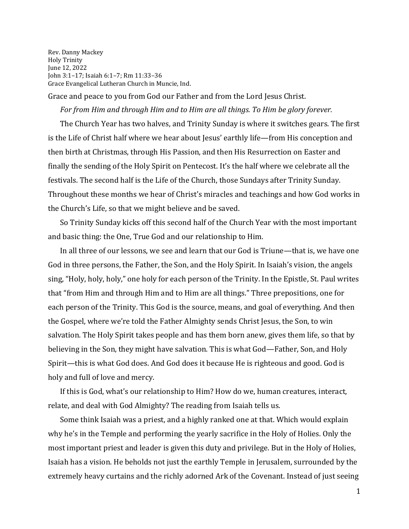Rev. Danny Mackey Holy Trinity June 12, 2022 John 3:1–17; Isaiah 6:1–7; Rm 11:33–36 Grace Evangelical Lutheran Church in Muncie, Ind.

Grace and peace to you from God our Father and from the Lord Jesus Christ.

*For from Him and through Him and to Him are all things. To Him be glory forever.*

The Church Year has two halves, and Trinity Sunday is where it switches gears. The first is the Life of Christ half where we hear about Jesus' earthly life—from His conception and then birth at Christmas, through His Passion, and then His Resurrection on Easter and finally the sending of the Holy Spirit on Pentecost. It's the half where we celebrate all the festivals. The second half is the Life of the Church, those Sundays after Trinity Sunday. Throughout these months we hear of Christ's miracles and teachings and how God works in the Church's Life, so that we might believe and be saved.

So Trinity Sunday kicks off this second half of the Church Year with the most important and basic thing: the One, True God and our relationship to Him.

In all three of our lessons, we see and learn that our God is Triune—that is, we have one God in three persons, the Father, the Son, and the Holy Spirit. In Isaiah's vision, the angels sing, "Holy, holy, holy," one holy for each person of the Trinity. In the Epistle, St. Paul writes that "from Him and through Him and to Him are all things." Three prepositions, one for each person of the Trinity. This God is the source, means, and goal of everything. And then the Gospel, where we're told the Father Almighty sends Christ Jesus, the Son, to win salvation. The Holy Spirit takes people and has them born anew, gives them life, so that by believing in the Son, they might have salvation. This is what God—Father, Son, and Holy Spirit—this is what God does. And God does it because He is righteous and good. God is holy and full of love and mercy.

If this is God, what's our relationship to Him? How do we, human creatures, interact, relate, and deal with God Almighty? The reading from Isaiah tells us.

Some think Isaiah was a priest, and a highly ranked one at that. Which would explain why he's in the Temple and performing the yearly sacrifice in the Holy of Holies. Only the most important priest and leader is given this duty and privilege. But in the Holy of Holies, Isaiah has a vision. He beholds not just the earthly Temple in Jerusalem, surrounded by the extremely heavy curtains and the richly adorned Ark of the Covenant. Instead of just seeing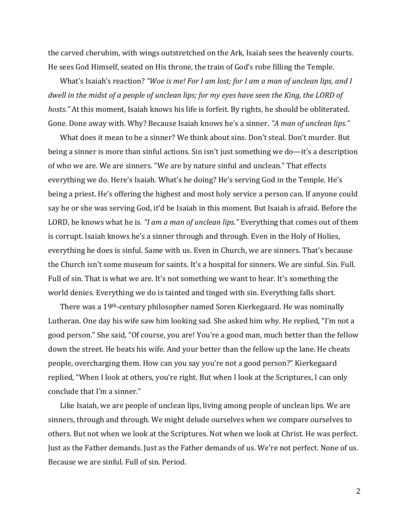the carved cherubim, with wings outstretched on the Ark, Isaiah sees the heavenly courts. He sees God Himself, seated on His throne, the train of God's robe filling the Temple.

What's Isaiah's reaction? *"Woe is me! For I am lost; for I am a man of unclean lips, and I dwell in the midst of a people of unclean lips; for my eyes have seen the King, the LORD of hosts."* At this moment, Isaiah knows his life is forfeit. By rights, he should be obliterated. Gone. Done away with. Why? Because Isaiah knows he's a sinner. *"A man of unclean lips."*

What does it mean to be a sinner? We think about sins. Don't steal. Don't murder. But being a sinner is more than sinful actions. Sin isn't just something we do—it's a description of who we are. We are sinners. "We are by nature sinful and unclean." That effects everything we do. Here's Isaiah. What's he doing? He's serving God in the Temple. He's being a priest. He's offering the highest and most holy service a person can. If anyone could say he or she was serving God, it'd be Isaiah in this moment. But Isaiah is afraid. Before the LORD, he knows what he is. *"I am a man of unclean lips."* Everything that comes out of them is corrupt. Isaiah knows he's a sinner through and through. Even in the Holy of Holies, everything he does is sinful. Same with us. Even in Church, we are sinners. That's because the Church isn't some museum for saints. It's a hospital for sinners. We are sinful. Sin. Full. Full of sin. That is what we are. It's not something we want to hear. It's something the world denies. Everything we do is tainted and tinged with sin. Everything falls short.

There was a 19th-century philosopher named Soren Kierkegaard. He was nominally Lutheran. One day his wife saw him looking sad. She asked him why. He replied, "I'm not a good person." She said, "Of course, you are! You're a good man, much better than the fellow down the street. He beats his wife. And your better than the fellow up the lane. He cheats people, overcharging them. How can you say you're not a good person?" Kierkegaard replied, "When I look at others, you're right. But when I look at the Scriptures, I can only conclude that I'm a sinner."

Like Isaiah, we are people of unclean lips, living among people of unclean lips. We are sinners, through and through. We might delude ourselves when we compare ourselves to others. But not when we look at the Scriptures. Not when we look at Christ. He was perfect. Just as the Father demands. Just as the Father demands of us. We're not perfect. None of us. Because we are sinful. Full of sin. Period.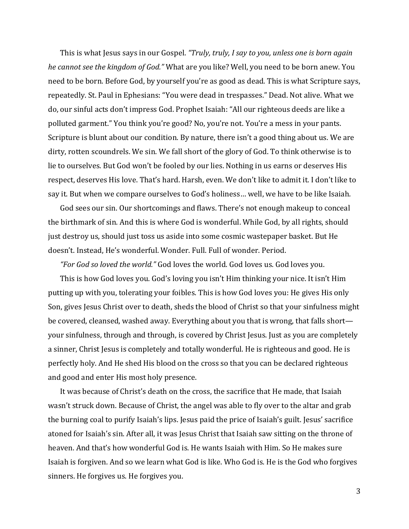This is what Jesus says in our Gospel. *"Truly, truly, I say to you, unless one is born again he cannot see the kingdom of God."* What are you like? Well, you need to be born anew. You need to be born. Before God, by yourself you're as good as dead. This is what Scripture says, repeatedly. St. Paul in Ephesians: "You were dead in trespasses." Dead. Not alive. What we do, our sinful acts don't impress God. Prophet Isaiah: "All our righteous deeds are like a polluted garment." You think you're good? No, you're not. You're a mess in your pants. Scripture is blunt about our condition. By nature, there isn't a good thing about us. We are dirty, rotten scoundrels. We sin. We fall short of the glory of God. To think otherwise is to lie to ourselves. But God won't be fooled by our lies. Nothing in us earns or deserves His respect, deserves His love. That's hard. Harsh, even. We don't like to admit it. I don't like to say it. But when we compare ourselves to God's holiness… well, we have to be like Isaiah.

God sees our sin. Our shortcomings and flaws. There's not enough makeup to conceal the birthmark of sin. And this is where God is wonderful. While God, by all rights, should just destroy us, should just toss us aside into some cosmic wastepaper basket. But He doesn't. Instead, He's wonderful. Wonder. Full. Full of wonder. Period.

*"For God so loved the world."* God loves the world. God loves us. God loves you.

This is how God loves you. God's loving you isn't Him thinking your nice. It isn't Him putting up with you, tolerating your foibles. This is how God loves you: He gives His only Son, gives Jesus Christ over to death, sheds the blood of Christ so that your sinfulness might be covered, cleansed, washed away. Everything about you that is wrong, that falls short your sinfulness, through and through, is covered by Christ Jesus. Just as you are completely a sinner, Christ Jesus is completely and totally wonderful. He is righteous and good. He is perfectly holy. And He shed His blood on the cross so that you can be declared righteous and good and enter His most holy presence.

It was because of Christ's death on the cross, the sacrifice that He made, that Isaiah wasn't struck down. Because of Christ, the angel was able to fly over to the altar and grab the burning coal to purify Isaiah's lips. Jesus paid the price of Isaiah's guilt. Jesus' sacrifice atoned for Isaiah's sin. After all, it was Jesus Christ that Isaiah saw sitting on the throne of heaven. And that's how wonderful God is. He wants Isaiah with Him. So He makes sure Isaiah is forgiven. And so we learn what God is like. Who God is. He is the God who forgives sinners. He forgives us. He forgives you.